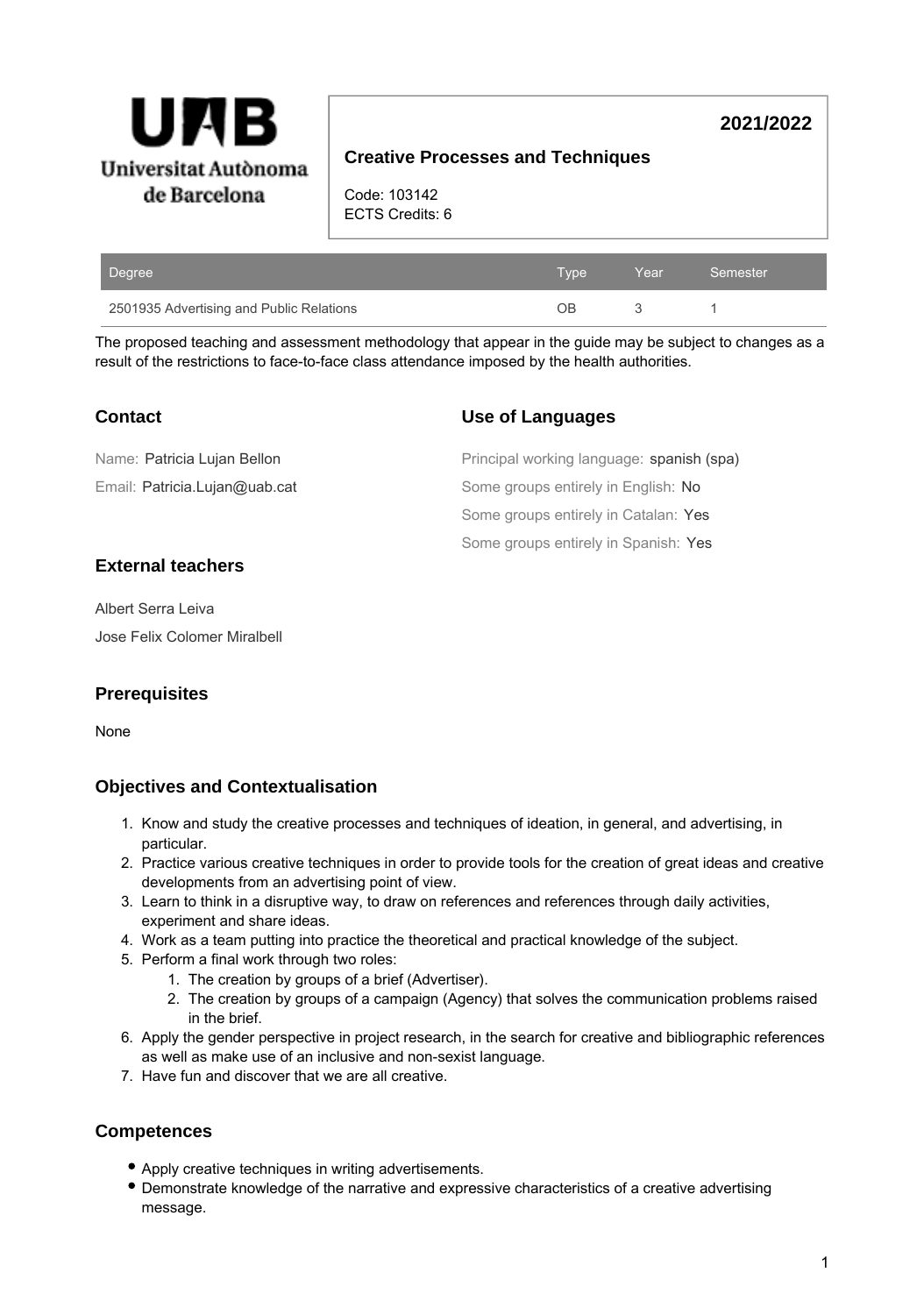

# **2021/2022**

# **Creative Processes and Techniques**

Code: 103142 ECTS Credits: 6

| Degree                                   | Tvpe | Year | Semester |
|------------------------------------------|------|------|----------|
| 2501935 Advertising and Public Relations | DВ   |      |          |

The proposed teaching and assessment methodology that appear in the guide may be subject to changes as a result of the restrictions to face-to-face class attendance imposed by the health authorities.

Some groups entirely in Spanish: Yes

spanish (spa)

| <b>Contact</b>                | <b>Use of Languages</b>               |
|-------------------------------|---------------------------------------|
| Name: Patricia Lujan Bellon   | Principal working language: spanish ( |
| Email: Patricia.Lujan@uab.cat | Some groups entirely in English: No   |
|                               | Some groups entirely in Catalan: Yes  |

#### **External teachers**

Albert Serra Leiva Jose Felix Colomer Miralbell

#### **Prerequisites**

None

### **Objectives and Contextualisation**

- 1. Know and study the creative processes and techniques of ideation, in general, and advertising, in particular.
- 2. Practice various creative techniques in order to provide tools for the creation of great ideas and creative developments from an advertising point of view.
- 3. Learn to think in a disruptive way, to draw on references and references through daily activities, experiment and share ideas.
- 4. Work as a team putting into practice the theoretical and practical knowledge of the subject.
- 5. Perform a final work through two roles:
	- 1. The creation by groups of a brief (Advertiser).
	- 2. The creation by groups of a campaign (Agency) that solves the communication problems raised in the brief.
- 6. Apply the gender perspective in project research, in the search for creative and bibliographic references as well as make use of an inclusive and non-sexist language.
- 7. Have fun and discover that we are all creative.

### **Competences**

- Apply creative techniques in writing advertisements.
- Demonstrate knowledge of the narrative and expressive characteristics of a creative advertising message.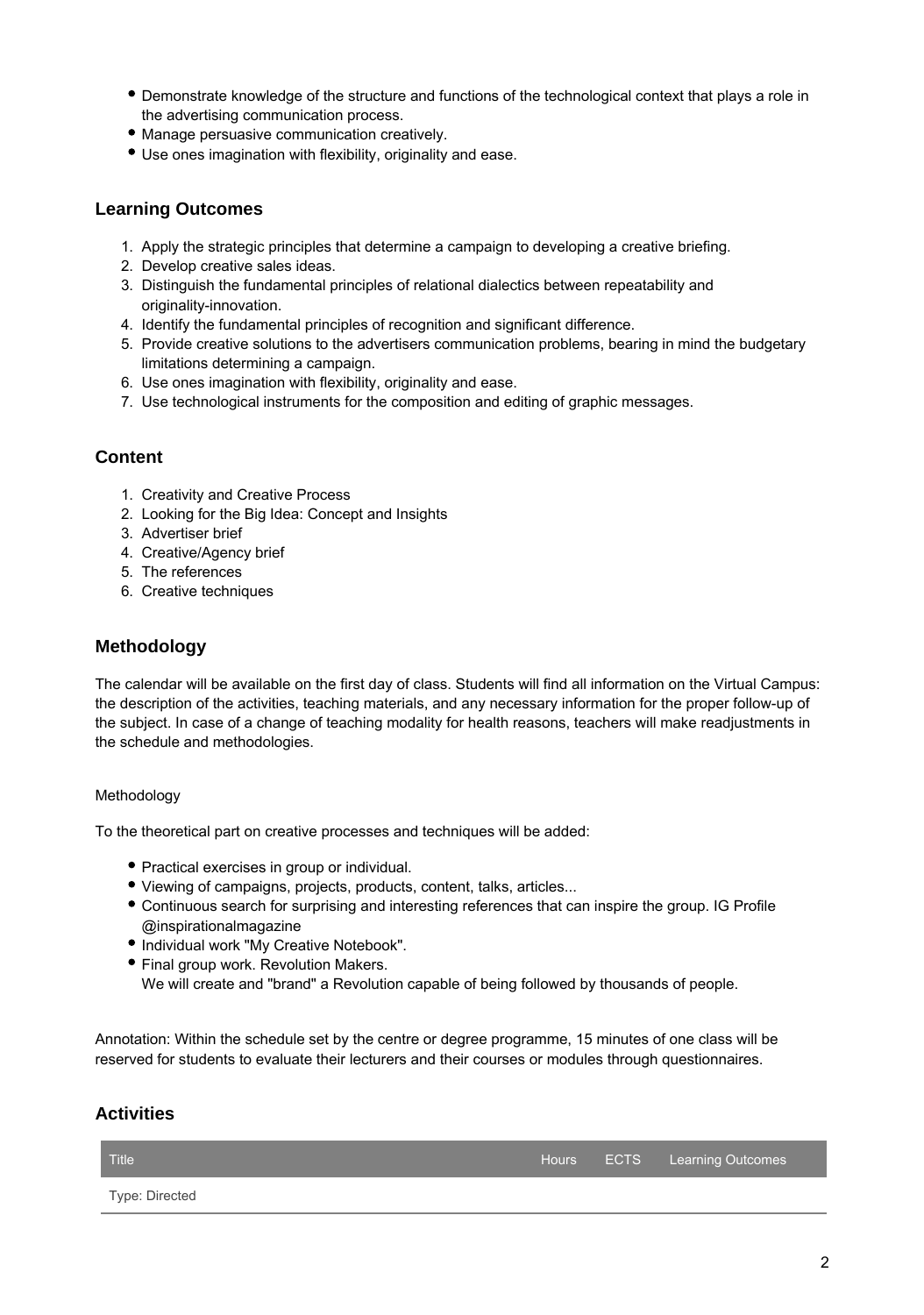- Demonstrate knowledge of the structure and functions of the technological context that plays a role in the advertising communication process.
- Manage persuasive communication creatively.
- Use ones imagination with flexibility, originality and ease.

### **Learning Outcomes**

- 1. Apply the strategic principles that determine a campaign to developing a creative briefing.
- 2. Develop creative sales ideas.
- 3. Distinguish the fundamental principles of relational dialectics between repeatability and originality-innovation.
- 4. Identify the fundamental principles of recognition and significant difference.
- 5. Provide creative solutions to the advertisers communication problems, bearing in mind the budgetary limitations determining a campaign.
- 6. Use ones imagination with flexibility, originality and ease.
- 7. Use technological instruments for the composition and editing of graphic messages.

### **Content**

- 1. Creativity and Creative Process
- 2. Looking for the Big Idea: Concept and Insights
- 3. Advertiser brief
- 4. Creative/Agency brief
- 5. The references
- 6. Creative techniques

### **Methodology**

The calendar will be available on the first day of class. Students will find all information on the Virtual Campus: the description of the activities, teaching materials, and any necessary information for the proper follow-up of the subject. In case of a change of teaching modality for health reasons, teachers will make readjustments in the schedule and methodologies.

#### Methodology

To the theoretical part on creative processes and techniques will be added:

- Practical exercises in group or individual.
- Viewing of campaigns, projects, products, content, talks, articles...
- Continuous search for surprising and interesting references that can inspire the group. IG Profile @inspirationalmagazine
- $\bullet$  Individual work "My Creative Notebook".
- Final group work. Revolution Makers. We will create and "brand" a Revolution capable of being followed by thousands of people.

Annotation: Within the schedule set by the centre or degree programme, 15 minutes of one class will be reserved for students to evaluate their lecturers and their courses or modules through questionnaires.

### **Activities**

| Title <sup>1</sup> |  | Hours ECTS Learning Outcomes |
|--------------------|--|------------------------------|
| Type: Directed     |  |                              |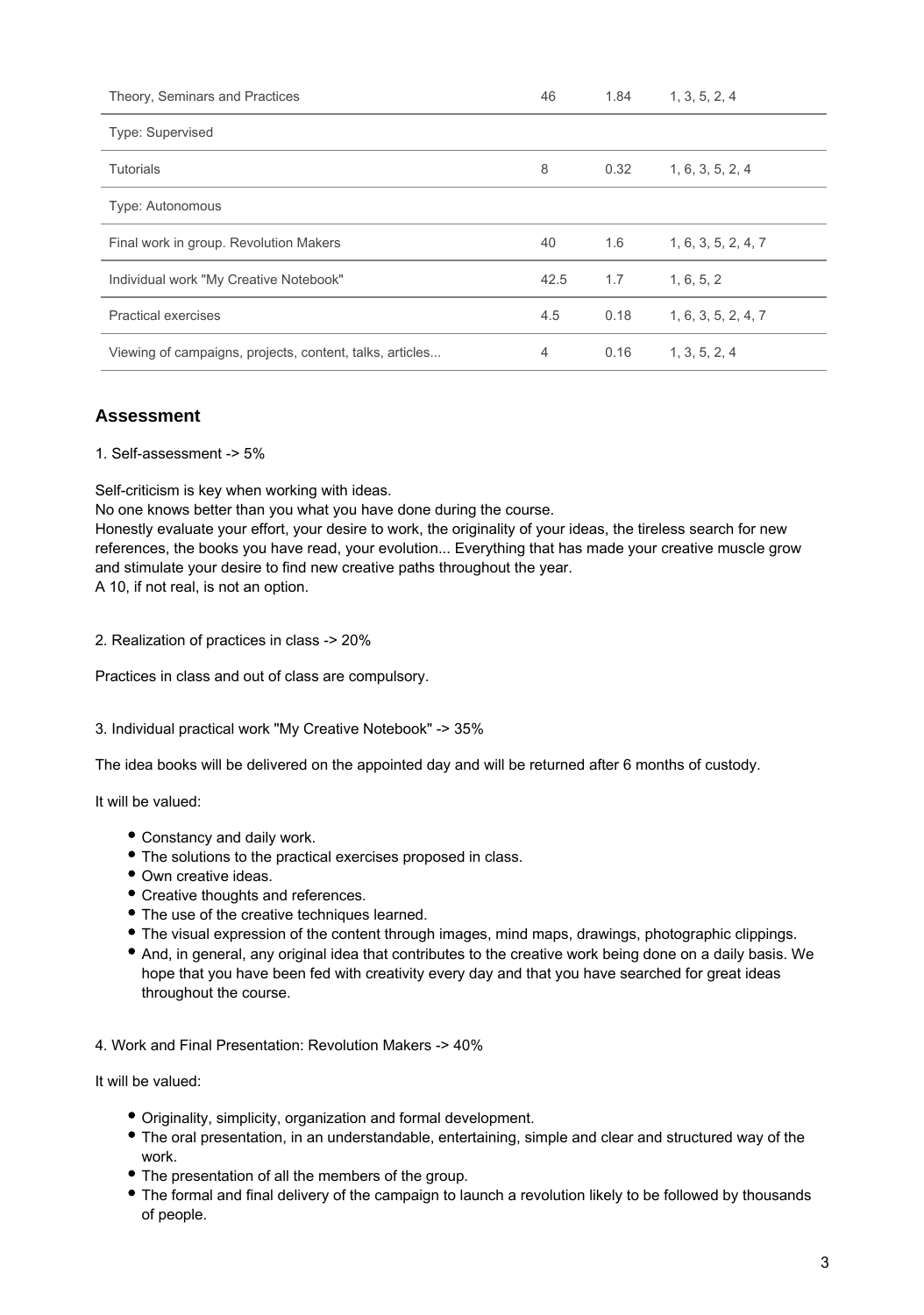| Theory, Seminars and Practices                           | 46   | 1.84 | 1, 3, 5, 2, 4       |
|----------------------------------------------------------|------|------|---------------------|
| Type: Supervised                                         |      |      |                     |
| <b>Tutorials</b>                                         | 8    | 0.32 | 1, 6, 3, 5, 2, 4    |
| Type: Autonomous                                         |      |      |                     |
| Final work in group. Revolution Makers                   | 40   | 1.6  | 1, 6, 3, 5, 2, 4, 7 |
| Individual work "My Creative Notebook"                   | 42.5 | 1.7  | 1, 6, 5, 2          |
| Practical exercises                                      | 4.5  | 0.18 | 1, 6, 3, 5, 2, 4, 7 |
| Viewing of campaigns, projects, content, talks, articles | 4    | 0.16 | 1, 3, 5, 2, 4       |

# **Assessment**

1. Self-assessment -> 5%

Self-criticism is key when working with ideas.

No one knows better than you what you have done during the course.

Honestly evaluate your effort, your desire to work, the originality of your ideas, the tireless search for new references, the books you have read, your evolution... Everything that has made your creative muscle grow and stimulate your desire to find new creative paths throughout the year. A 10, if not real, is not an option.

2. Realization of practices in class -> 20%

Practices in class and out of class are compulsory.

#### 3. Individual practical work "My Creative Notebook" -> 35%

The idea books will be delivered on the appointed day and will be returned after 6 months of custody.

It will be valued:

- Constancy and daily work.
- The solutions to the practical exercises proposed in class.
- Own creative ideas.
- Creative thoughts and references.
- The use of the creative techniques learned.
- The visual expression of the content through images, mind maps, drawings, photographic clippings.
- And, in general, any original idea that contributes to the creative work being done on a daily basis. We hope that you have been fed with creativity every day and that you have searched for great ideas throughout the course.

4. Work and Final Presentation: Revolution Makers -> 40%

It will be valued:

- Originality, simplicity, organization and formal development.
- The oral presentation, in an understandable, entertaining, simple and clear and structured way of the work.
- The presentation of all the members of the group.
- The formal and final delivery of the campaign to launch a revolution likely to be followed by thousands of people.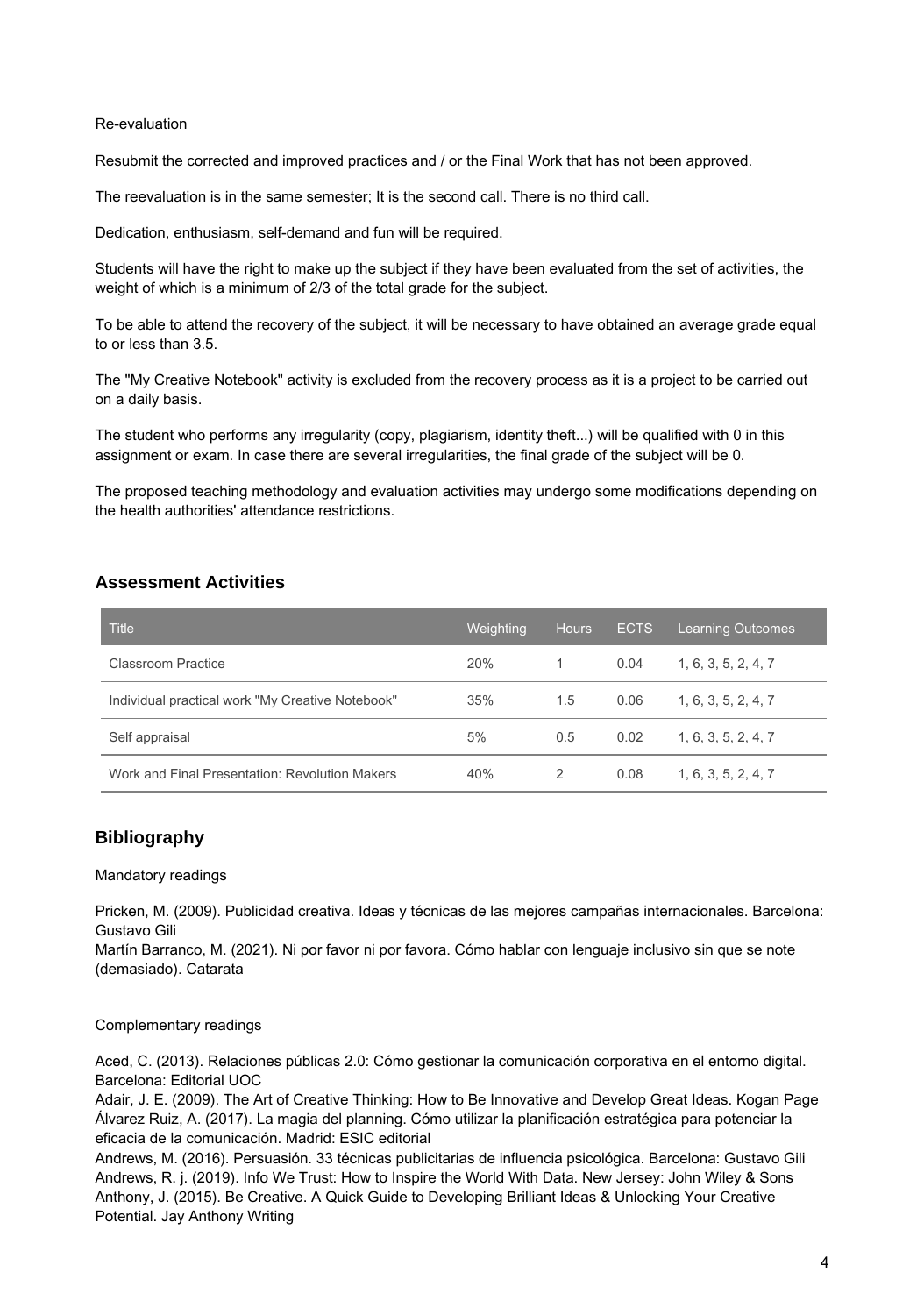#### Re-evaluation

Resubmit the corrected and improved practices and / or the Final Work that has not been approved.

The reevaluation is in the same semester; It is the second call. There is no third call.

Dedication, enthusiasm, self-demand and fun will be required.

Students will have the right to make up the subject if they have been evaluated from the set of activities, the weight of which is a minimum of 2/3 of the total grade for the subject.

To be able to attend the recovery of the subject, it will be necessary to have obtained an average grade equal to or less than 3.5.

The "My Creative Notebook" activity is excluded from the recovery process as it is a project to be carried out on a daily basis.

The student who performs any irregularity (copy, plagiarism, identity theft...) will be qualified with 0 in this assignment or exam. In case there are several irregularities, the final grade of the subject will be 0.

The proposed teaching methodology and evaluation activities may undergo some modifications depending on the health authorities' attendance restrictions.

### **Assessment Activities**

| <b>Title</b>                                     | Weighting | <b>Hours</b> | <b>ECTS</b> | <b>Learning Outcomes</b> |
|--------------------------------------------------|-----------|--------------|-------------|--------------------------|
| Classroom Practice                               | 20%       |              | 0.04        | 1, 6, 3, 5, 2, 4, 7      |
| Individual practical work "My Creative Notebook" | 35%       | 1.5          | 0.06        | 1, 6, 3, 5, 2, 4, 7      |
| Self appraisal                                   | 5%        | 0.5          | 0.02        | 1, 6, 3, 5, 2, 4, 7      |
| Work and Final Presentation: Revolution Makers   | 40%       | 2            | 0.08        | 1, 6, 3, 5, 2, 4, 7      |

### **Bibliography**

#### Mandatory readings

Pricken, M. (2009). Publicidad creativa. Ideas y técnicas de las mejores campañas internacionales. Barcelona: Gustavo Gili

Martín Barranco, M. (2021). Ni por favor ni por favora. Cómo hablar con lenguaje inclusivo sin que se note (demasiado). Catarata

#### Complementary readings

Aced, C. (2013). Relaciones públicas 2.0: Cómo gestionar la comunicación corporativa en el entorno digital. Barcelona: Editorial UOC

Adair, J. E. (2009). The Art of Creative Thinking: How to Be Innovative and Develop Great Ideas. Kogan Page Álvarez Ruiz, A. (2017). La magia del planning. Cómo utilizar la planificación estratégica para potenciar la eficacia de la comunicación. Madrid: ESIC editorial

Andrews, M. (2016). Persuasión. 33 técnicas publicitarias de influencia psicológica. Barcelona: Gustavo Gili Andrews, R. j. (2019). Info We Trust: How to Inspire the World With Data. New Jersey: John Wiley & Sons Anthony, J. (2015). Be Creative. A Quick Guide to Developing Brilliant Ideas & Unlocking Your Creative Potential. Jay Anthony Writing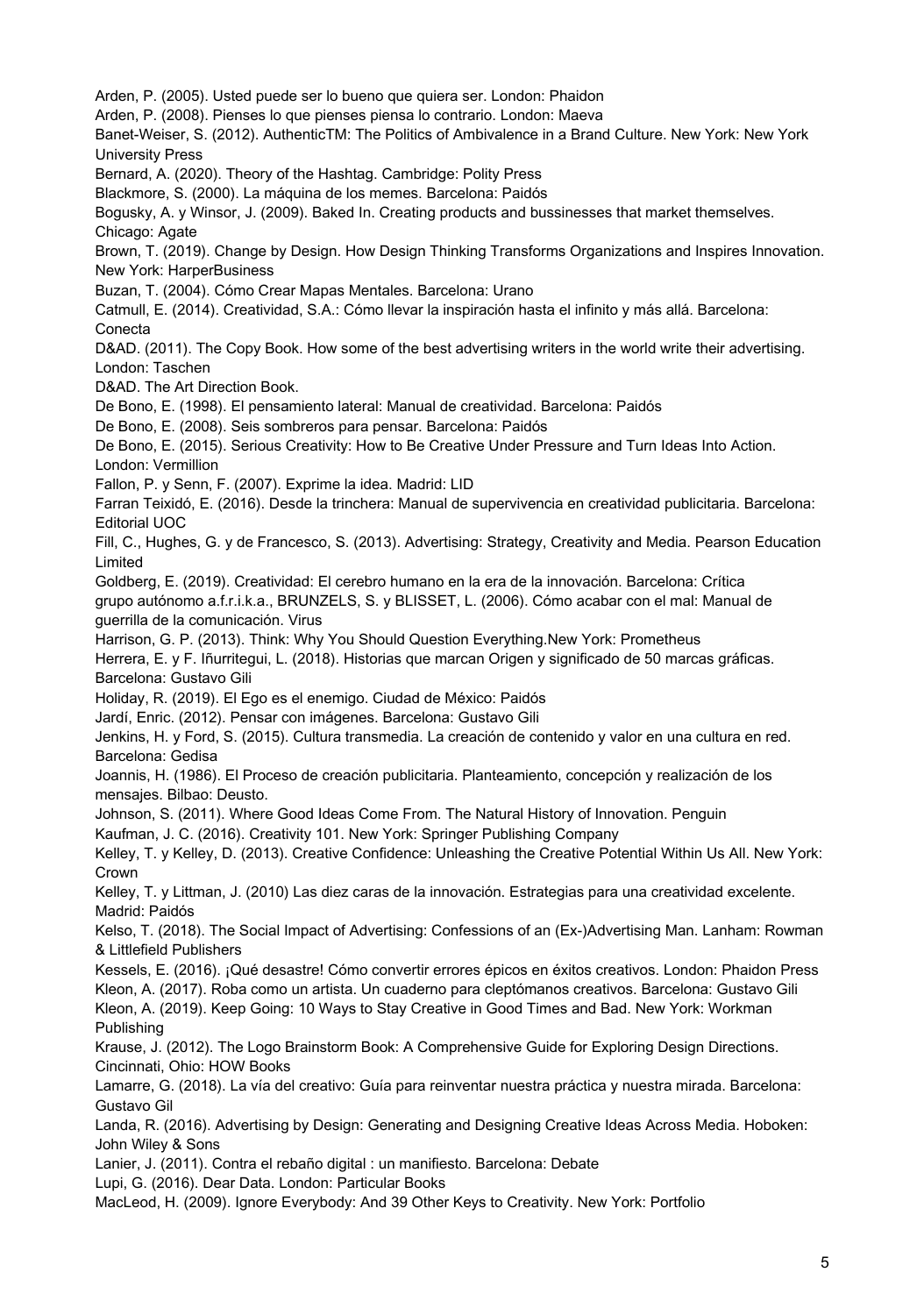Arden, P. (2005). Usted puede ser lo bueno que quiera ser. London: Phaidon Arden, P. (2008). Pienses lo que pienses piensa lo contrario. London: Maeva Banet-Weiser, S. (2012). AuthenticTM: The Politics of Ambivalence in a Brand Culture. New York: New York University Press Bernard, A. (2020). Theory of the Hashtag. Cambridge: Polity Press Blackmore, S. (2000). La máquina de los memes. Barcelona: Paidós Bogusky, A. y Winsor, J. (2009). Baked In. Creating products and bussinesses that market themselves. Chicago: Agate Brown, T. (2019). Change by Design. How Design Thinking Transforms Organizations and Inspires Innovation. New York: HarperBusiness Buzan, T. (2004). Cómo Crear Mapas Mentales. Barcelona: Urano Catmull, E. (2014). Creatividad, S.A.: Cómo llevar la inspiración hasta el infinito y más allá. Barcelona: Conecta D&AD. (2011). The Copy Book. How some of the best advertising writers in the world write their advertising. London: Taschen D&AD. The Art Direction Book. De Bono, E. (1998). El pensamiento lateral: Manual de creatividad. Barcelona: Paidós De Bono, E. (2008). Seis sombreros para pensar. Barcelona: Paidós De Bono, E. (2015). Serious Creativity: How to Be Creative Under Pressure and Turn Ideas Into Action. London: Vermillion Fallon, P. y Senn, F. (2007). Exprime la idea. Madrid: LID Farran Teixidó, E. (2016). Desde la trinchera: Manual de supervivencia en creatividad publicitaria. Barcelona: Editorial UOC Fill, C., Hughes, G. y de Francesco, S. (2013). Advertising: Strategy, Creativity and Media. Pearson Education Limited Goldberg, E. (2019). Creatividad: El cerebro humano en la era de la innovación. Barcelona: Crítica grupo autónomo a.f.r.i.k.a., BRUNZELS, S. y BLISSET, L. (2006). Cómo acabar con el mal: Manual de guerrilla de la comunicación. Virus Harrison, G. P. (2013). Think: Why You Should Question Everything.New York: Prometheus Herrera, E. y F. Iñurritegui, L. (2018). Historias que marcan Origen y significado de 50 marcas gráficas. Barcelona: Gustavo Gili Holiday, R. (2019). El Ego es el enemigo. Ciudad de México: Paidós Jardí, Enric. (2012). Pensar con imágenes. Barcelona: Gustavo Gili Jenkins, H. y Ford, S. (2015). Cultura transmedia. La creación de contenido y valor en una cultura en red. Barcelona: Gedisa Joannis, H. (1986). El Proceso de creación publicitaria. Planteamiento, concepción y realización de los mensajes. Bilbao: Deusto. Johnson, S. (2011). Where Good Ideas Come From. The Natural History of Innovation. Penguin Kaufman, J. C. (2016). Creativity 101. New York: Springer Publishing Company Kelley, T. y Kelley, D. (2013). Creative Confidence: Unleashing the Creative Potential Within Us All. New York: Crown Kelley, T. y Littman, J. (2010) Las diez caras de la innovación. Estrategias para una creatividad excelente. Madrid: Paidós Kelso, T. (2018). The Social Impact of Advertising: Confessions of an (Ex-)Advertising Man. Lanham: Rowman & Littlefield Publishers Kessels, E. (2016). ¡Qué desastre! Cómo convertir errores épicos en éxitos creativos. London: Phaidon Press Kleon, A. (2017). Roba como un artista. Un cuaderno para cleptómanos creativos. Barcelona: Gustavo Gili Kleon, A. (2019). Keep Going: 10 Ways to Stay Creative in Good Times and Bad. New York: Workman Publishing Krause, J. (2012). The Logo Brainstorm Book: A Comprehensive Guide for Exploring Design Directions. Cincinnati, Ohio: HOW Books Lamarre, G. (2018). La vía del creativo: Guía para reinventar nuestra práctica y nuestra mirada. Barcelona: Gustavo Gil Landa, R. (2016). Advertising by Design: Generating and Designing Creative Ideas Across Media. Hoboken: John Wiley & Sons Lanier, J. (2011). Contra el rebaño digital : un manifiesto. Barcelona: Debate Lupi, G. (2016). Dear Data. London: Particular Books MacLeod, H. (2009). Ignore Everybody: And 39 Other Keys to Creativity. New York: Portfolio